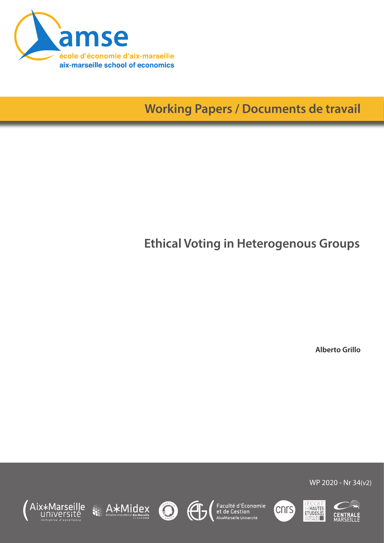

**Working Papers / Documents de travail**

# **Ethical Voting in Heterogenous Groups**

**Alberto Grillo**









Faculté d'Économie<br>et de Gestion<br><sup>Aix\*Marseille Université</sup>





 $WP$  2020 - Nr 34( $v2$ )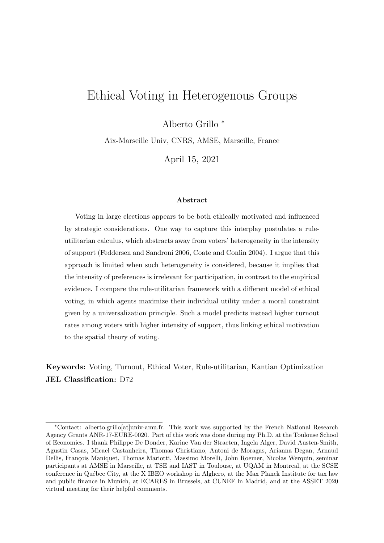## Ethical Voting in Heterogenous Groups

Alberto Grillo <sup>∗</sup>

Aix-Marseille Univ, CNRS, AMSE, Marseille, France

April 15, 2021

#### Abstract

Voting in large elections appears to be both ethically motivated and influenced by strategic considerations. One way to capture this interplay postulates a ruleutilitarian calculus, which abstracts away from voters' heterogeneity in the intensity of support (Feddersen and Sandroni 2006, Coate and Conlin 2004). I argue that this approach is limited when such heterogeneity is considered, because it implies that the intensity of preferences is irrelevant for participation, in contrast to the empirical evidence. I compare the rule-utilitarian framework with a different model of ethical voting, in which agents maximize their individual utility under a moral constraint given by a universalization principle. Such a model predicts instead higher turnout rates among voters with higher intensity of support, thus linking ethical motivation to the spatial theory of voting.

Keywords: Voting, Turnout, Ethical Voter, Rule-utilitarian, Kantian Optimization JEL Classification: D72

<sup>∗</sup>Contact: alberto.grillo[at]univ-amu.fr. This work was supported by the French National Research Agency Grants ANR-17-EURE-0020. Part of this work was done during my Ph.D. at the Toulouse School of Economics. I thank Philippe De Donder, Karine Van der Straeten, Ingela Alger, David Austen-Smith, Agustin Casas, Micael Castanheira, Thomas Christiano, Antoni de Moragas, Arianna Degan, Arnaud Dellis, François Maniquet, Thomas Mariotti, Massimo Morelli, John Roemer, Nicolas Werquin, seminar participants at AMSE in Marseille, at TSE and IAST in Toulouse, at UQAM in Montreal, at the SCSE conference in Québec City, at the X IBEO workshop in Alghero, at the Max Planck Institute for tax law and public finance in Munich, at ECARES in Brussels, at CUNEF in Madrid, and at the ASSET 2020 virtual meeting for their helpful comments.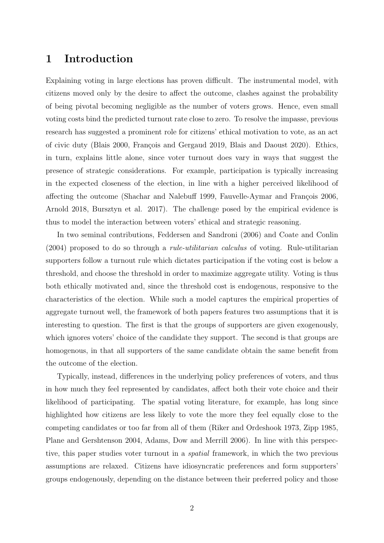## 1 Introduction

Explaining voting in large elections has proven difficult. The instrumental model, with citizens moved only by the desire to affect the outcome, clashes against the probability of being pivotal becoming negligible as the number of voters grows. Hence, even small voting costs bind the predicted turnout rate close to zero. To resolve the impasse, previous research has suggested a prominent role for citizens' ethical motivation to vote, as an act of civic duty (Blais 2000, François and Gergaud 2019, Blais and Daoust 2020). Ethics, in turn, explains little alone, since voter turnout does vary in ways that suggest the presence of strategic considerations. For example, participation is typically increasing in the expected closeness of the election, in line with a higher perceived likelihood of affecting the outcome (Shachar and Nalebuff 1999, Fauvelle-Aymar and François 2006, Arnold 2018, Bursztyn et al. 2017). The challenge posed by the empirical evidence is thus to model the interaction between voters' ethical and strategic reasoning.

In two seminal contributions, Feddersen and Sandroni (2006) and Coate and Conlin (2004) proposed to do so through a rule-utilitarian calculus of voting. Rule-utilitarian supporters follow a turnout rule which dictates participation if the voting cost is below a threshold, and choose the threshold in order to maximize aggregate utility. Voting is thus both ethically motivated and, since the threshold cost is endogenous, responsive to the characteristics of the election. While such a model captures the empirical properties of aggregate turnout well, the framework of both papers features two assumptions that it is interesting to question. The first is that the groups of supporters are given exogenously, which ignores voters' choice of the candidate they support. The second is that groups are homogenous, in that all supporters of the same candidate obtain the same benefit from the outcome of the election.

Typically, instead, differences in the underlying policy preferences of voters, and thus in how much they feel represented by candidates, affect both their vote choice and their likelihood of participating. The spatial voting literature, for example, has long since highlighted how citizens are less likely to vote the more they feel equally close to the competing candidates or too far from all of them (Riker and Ordeshook 1973, Zipp 1985, Plane and Gershtenson 2004, Adams, Dow and Merrill 2006). In line with this perspective, this paper studies voter turnout in a spatial framework, in which the two previous assumptions are relaxed. Citizens have idiosyncratic preferences and form supporters' groups endogenously, depending on the distance between their preferred policy and those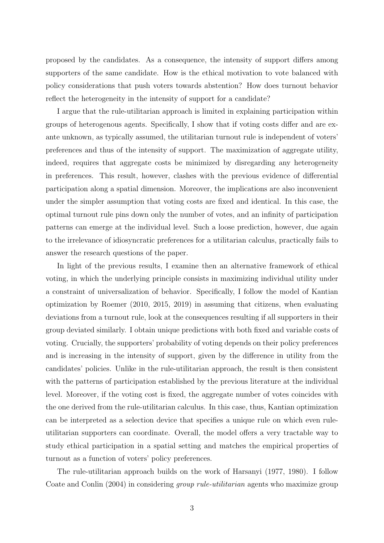proposed by the candidates. As a consequence, the intensity of support differs among supporters of the same candidate. How is the ethical motivation to vote balanced with policy considerations that push voters towards abstention? How does turnout behavior reflect the heterogeneity in the intensity of support for a candidate?

I argue that the rule-utilitarian approach is limited in explaining participation within groups of heterogenous agents. Specifically, I show that if voting costs differ and are exante unknown, as typically assumed, the utilitarian turnout rule is independent of voters' preferences and thus of the intensity of support. The maximization of aggregate utility, indeed, requires that aggregate costs be minimized by disregarding any heterogeneity in preferences. This result, however, clashes with the previous evidence of differential participation along a spatial dimension. Moreover, the implications are also inconvenient under the simpler assumption that voting costs are fixed and identical. In this case, the optimal turnout rule pins down only the number of votes, and an infinity of participation patterns can emerge at the individual level. Such a loose prediction, however, due again to the irrelevance of idiosyncratic preferences for a utilitarian calculus, practically fails to answer the research questions of the paper.

In light of the previous results, I examine then an alternative framework of ethical voting, in which the underlying principle consists in maximizing individual utility under a constraint of universalization of behavior. Specifically, I follow the model of Kantian optimization by Roemer (2010, 2015, 2019) in assuming that citizens, when evaluating deviations from a turnout rule, look at the consequences resulting if all supporters in their group deviated similarly. I obtain unique predictions with both fixed and variable costs of voting. Crucially, the supporters' probability of voting depends on their policy preferences and is increasing in the intensity of support, given by the difference in utility from the candidates' policies. Unlike in the rule-utilitarian approach, the result is then consistent with the patterns of participation established by the previous literature at the individual level. Moreover, if the voting cost is fixed, the aggregate number of votes coincides with the one derived from the rule-utilitarian calculus. In this case, thus, Kantian optimization can be interpreted as a selection device that specifies a unique rule on which even ruleutilitarian supporters can coordinate. Overall, the model offers a very tractable way to study ethical participation in a spatial setting and matches the empirical properties of turnout as a function of voters' policy preferences.

The rule-utilitarian approach builds on the work of Harsanyi (1977, 1980). I follow Coate and Conlin (2004) in considering group rule-utilitarian agents who maximize group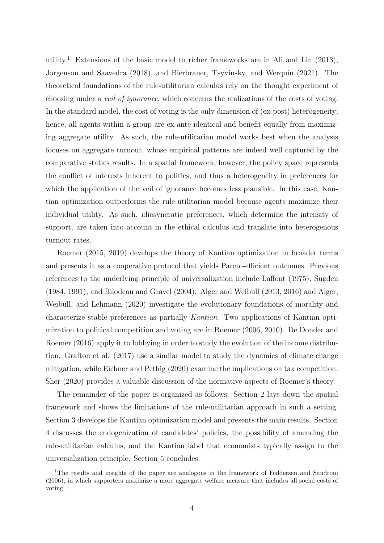utility.<sup>[1](#page-4-0)</sup> Extensions of the basic model to richer frameworks are in Ali and Lin  $(2013)$ , Jorgenson and Saavedra (2018), and Bierbrauer, Tsyvinsky, and Werquin (2021). The theoretical foundations of the rule-utilitarian calculus rely on the thought experiment of choosing under a veil of ignorance, which concerns the realizations of the costs of voting. In the standard model, the cost of voting is the only dimension of (ex-post) heterogeneity; hence, all agents within a group are ex-ante identical and benefit equally from maximizing aggregate utility. As such, the rule-utilitarian model works best when the analysis focuses on aggregate turnout, whose empirical patterns are indeed well captured by the comparative statics results. In a spatial framework, however, the policy space represents the conflict of interests inherent to politics, and thus a heterogeneity in preferences for which the application of the veil of ignorance becomes less plausible. In this case, Kantian optimization outperforms the rule-utilitarian model because agents maximize their individual utility. As such, idiosyncratic preferences, which determine the intensity of support, are taken into account in the ethical calculus and translate into heterogenous turnout rates.

Roemer (2015, 2019) develops the theory of Kantian optimization in broader terms and presents it as a cooperative protocol that yields Pareto-efficient outcomes. Previous references to the underlying principle of universalization include Laffont (1975), Sugden (1984, 1991), and Bilodeau and Gravel (2004). Alger and Weibull (2013, 2016) and Alger, Weibull, and Lehmann (2020) investigate the evolutionary foundations of morality and characterize stable preferences as partially Kantian. Two applications of Kantian optimization to political competition and voting are in Roemer (2006, 2010). De Donder and Roemer (2016) apply it to lobbying in order to study the evolution of the income distribution. Grafton et al. (2017) use a similar model to study the dynamics of climate change mitigation, while Eichner and Pethig (2020) examine the implications on tax competition. Sher (2020) provides a valuable discussion of the normative aspects of Roemer's theory.

The remainder of the paper is organized as follows. Section 2 lays down the spatial framework and shows the limitations of the rule-utilitarian approach in such a setting. Section 3 develops the Kantian optimization model and presents the main results. Section 4 discusses the endogenization of candidates' policies, the possibility of amending the rule-utilitarian calculus, and the Kantian label that economists typically assign to the universalization principle. Section 5 concludes.

<span id="page-4-0"></span><sup>1</sup>The results and insights of the paper are analogous in the framework of Feddersen and Sandroni (2006), in which supporters maximize a more aggregate welfare measure that includes all social costs of voting.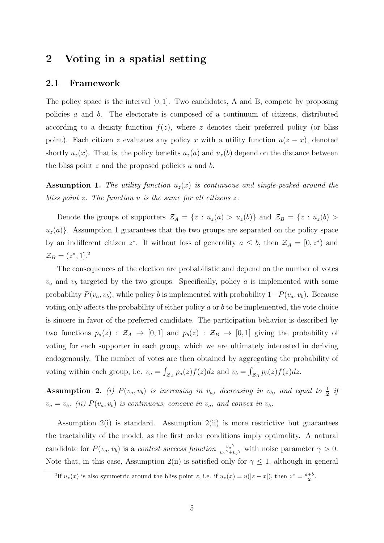## 2 Voting in a spatial setting

#### 2.1 Framework

The policy space is the interval [0, 1]. Two candidates, A and B, compete by proposing policies a and b. The electorate is composed of a continuum of citizens, distributed according to a density function  $f(z)$ , where z denotes their preferred policy (or bliss point). Each citizen z evaluates any policy x with a utility function  $u(z - x)$ , denoted shortly  $u_z(x)$ . That is, the policy benefits  $u_z(a)$  and  $u_z(b)$  depend on the distance between the bliss point  $z$  and the proposed policies  $a$  and  $b$ .

**Assumption 1.** The utility function  $u_z(x)$  is continuous and single-peaked around the bliss point z. The function u is the same for all citizens z.

Denote the groups of supporters  $\mathcal{Z}_A = \{z : u_z(a) > u_z(b)\}\$  and  $\mathcal{Z}_B = \{z : u_z(b) > u_z(b)\}\$  $u_z(a)$ . Assumption 1 guarantees that the two groups are separated on the policy space by an indifferent citizen  $z^*$ . If without loss of generality  $a \leq b$ , then  $\mathcal{Z}_A = [0, z^*)$  and  $\mathcal{Z}_B = (z^*, 1].^2$  $\mathcal{Z}_B = (z^*, 1].^2$ 

The consequences of the election are probabilistic and depend on the number of votes  $v_a$  and  $v_b$  targeted by the two groups. Specifically, policy a is implemented with some probability  $P(v_a, v_b)$ , while policy b is implemented with probability  $1-P(v_a, v_b)$ . Because voting only affects the probability of either policy  $a$  or  $b$  to be implemented, the vote choice is sincere in favor of the preferred candidate. The participation behavior is described by two functions  $p_a(z)$ :  $\mathcal{Z}_A \to [0,1]$  and  $p_b(z)$ :  $\mathcal{Z}_B \to [0,1]$  giving the probability of voting for each supporter in each group, which we are ultimately interested in deriving endogenously. The number of votes are then obtained by aggregating the probability of voting within each group, i.e.  $v_a = \int_{\mathcal{Z}_A} p_a(z) f(z) dz$  and  $v_b = \int_{\mathcal{Z}_B} p_b(z) f(z) dz$ .

**Assumption 2.** (i)  $P(v_a, v_b)$  is increasing in  $v_a$ , decreasing in  $v_b$ , and equal to  $\frac{1}{2}$  if  $v_a = v_b$ . (ii)  $P(v_a, v_b)$  is continuous, concave in  $v_a$ , and convex in  $v_b$ .

Assumption  $2(i)$  is standard. Assumption  $2(ii)$  is more restrictive but guarantees the tractability of the model, as the first order conditions imply optimality. A natural candidate for  $P(v_a, v_b)$  is a contest success function  $\frac{v_a}{v_a \gamma + i}$  $\frac{v_a^{\gamma}}{v_a^{\gamma}+v_b^{\gamma}}$  with noise parameter  $\gamma > 0$ . Note that, in this case, Assumption 2(ii) is satisfied only for  $\gamma \leq 1$ , although in general

<span id="page-5-0"></span><sup>&</sup>lt;sup>2</sup>If  $u_z(x)$  is also symmetric around the bliss point z, i.e. if  $u_z(x) = u(|z-x|)$ , then  $z^* = \frac{a+b}{2}$ .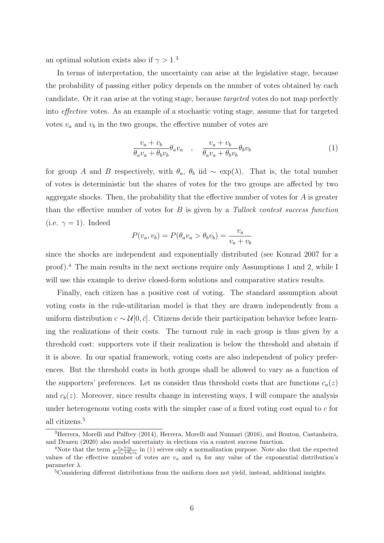an optimal solution exists also if  $\gamma > 1$ .<sup>[3](#page-6-0)</sup>

In terms of interpretation, the uncertainty can arise at the legislative stage, because the probability of passing either policy depends on the number of votes obtained by each candidate. Or it can arise at the voting stage, because targeted votes do not map perfectly into effective votes. As an example of a stochastic voting stage, assume that for targeted votes  $v_a$  and  $v_b$  in the two groups, the effective number of votes are

<span id="page-6-3"></span>
$$
\frac{v_a + v_b}{\theta_a v_a + \theta_b v_b} \theta_a v_a \quad , \quad \frac{v_a + v_b}{\theta_a v_a + \theta_b v_b} \theta_b v_b \tag{1}
$$

for group A and B respectively, with  $\theta_a$ ,  $\theta_b$  iid ~ exp( $\lambda$ ). That is, the total number of votes is deterministic but the shares of votes for the two groups are affected by two aggregate shocks. Then, the probability that the effective number of votes for A is greater than the effective number of votes for  $B$  is given by a Tullock contest success function (i.e.  $\gamma = 1$ ). Indeed

$$
P(v_a, v_b) = P(\theta_a v_a > \theta_b v_b) = \frac{v_a}{v_a + v_b}
$$

since the shocks are independent and exponentially distributed (see Konrad 2007 for a proof).[4](#page-6-1) The main results in the next sections require only Assumptions 1 and 2, while I will use this example to derive closed-form solutions and comparative statics results.

Finally, each citizen has a positive cost of voting. The standard assumption about voting costs in the rule-utilitarian model is that they are drawn independently from a uniform distribution  $c \sim \mathcal{U}[0, \bar{c}]$ . Citizens decide their participation behavior before learning the realizations of their costs. The turnout rule in each group is thus given by a threshold cost: supporters vote if their realization is below the threshold and abstain if it is above. In our spatial framework, voting costs are also independent of policy preferences. But the threshold costs in both groups shall be allowed to vary as a function of the supporters' preferences. Let us consider thus threshold costs that are functions  $c_a(z)$ and  $c_b(z)$ . Moreover, since results change in interesting ways, I will compare the analysis under heterogenous voting costs with the simpler case of a fixed voting cost equal to  $c$  for all citizens.[5](#page-6-2)

<span id="page-6-0"></span><sup>3</sup>Herrera, Morelli and Palfrey (2014), Herrera, Morelli and Nunnari (2016), and Bouton, Castanheira, and Drazen (2020) also model uncertainty in elections via a contest success function.

<span id="page-6-1"></span><sup>&</sup>lt;sup>4</sup>Note that the term  $\frac{v_a+v_b}{\theta_a v_a+\theta_b v_b}$  in [\(1\)](#page-6-3) serves only a normalization purpose. Note also that the expected values of the effective number of votes are  $v_a$  and  $v_b$  for any value of the exponential distribution's parameter  $\lambda$ .

<span id="page-6-2"></span><sup>5</sup>Considering different distributions from the uniform does not yield, instead, additional insights.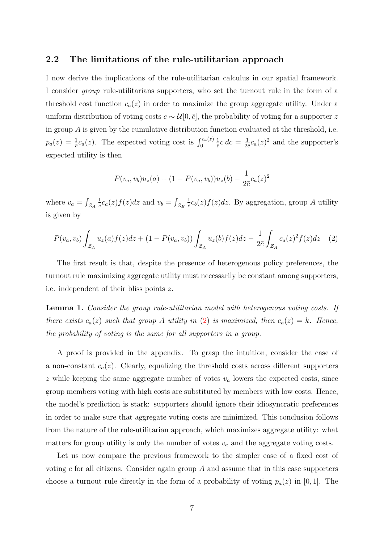#### 2.2 The limitations of the rule-utilitarian approach

I now derive the implications of the rule-utilitarian calculus in our spatial framework. I consider group rule-utilitarians supporters, who set the turnout rule in the form of a threshold cost function  $c_a(z)$  in order to maximize the group aggregate utility. Under a uniform distribution of voting costs  $c \sim \mathcal{U}[0, \bar{c}]$ , the probability of voting for a supporter z in group A is given by the cumulative distribution function evaluated at the threshold, i.e.  $p_a(z) = \frac{1}{c}c_a(z)$ . The expected voting cost is  $\int_0^{c_a(z)}$ 1  $\frac{1}{\bar{c}}c\,dc=\frac{1}{2\bar{c}}$  $\frac{1}{2\bar{c}}c_a(z)^2$  and the supporter's expected utility is then

$$
P(v_a, v_b)u_z(a) + (1 - P(v_a, v_b))u_z(b) - \frac{1}{2\bar{c}}c_a(z)^2
$$

where  $v_a = \int_{\mathcal{Z}_A}$ 1  $\frac{1}{c}c_a(z)f(z)dz$  and  $v_b=\int_{\mathcal{Z}_B}$ 1  $\frac{1}{c}c_b(z)f(z)dz$ . By aggregation, group A utility is given by

<span id="page-7-0"></span>
$$
P(v_a, v_b) \int_{\mathcal{Z}_A} u_z(a) f(z) dz + (1 - P(v_a, v_b)) \int_{\mathcal{Z}_A} u_z(b) f(z) dz - \frac{1}{2\bar{c}} \int_{\mathcal{Z}_A} c_a(z)^2 f(z) dz \quad (2)
$$

The first result is that, despite the presence of heterogenous policy preferences, the turnout rule maximizing aggregate utility must necessarily be constant among supporters, i.e. independent of their bliss points z.

Lemma 1. Consider the group rule-utilitarian model with heterogenous voting costs. If there exists  $c_a(z)$  such that group A utility in [\(2\)](#page-7-0) is maximized, then  $c_a(z) = k$ . Hence, the probability of voting is the same for all supporters in a group.

A proof is provided in the appendix. To grasp the intuition, consider the case of a non-constant  $c_a(z)$ . Clearly, equalizing the threshold costs across different supporters  $z$  while keeping the same aggregate number of votes  $v_a$  lowers the expected costs, since group members voting with high costs are substituted by members with low costs. Hence, the model's prediction is stark: supporters should ignore their idiosyncratic preferences in order to make sure that aggregate voting costs are minimized. This conclusion follows from the nature of the rule-utilitarian approach, which maximizes aggregate utility: what matters for group utility is only the number of votes  $v_a$  and the aggregate voting costs.

Let us now compare the previous framework to the simpler case of a fixed cost of voting  $c$  for all citizens. Consider again group  $A$  and assume that in this case supporters choose a turnout rule directly in the form of a probability of voting  $p_a(z)$  in [0, 1]. The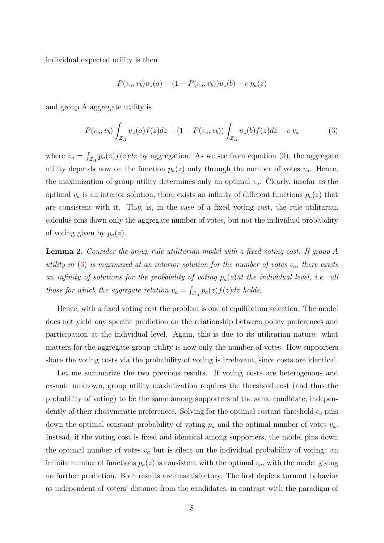individual expected utility is then

$$
P(v_a, v_b)u_z(a) + (1 - P(v_a, v_b))u_z(b) - c p_a(z)
$$

and group A aggregate utility is

<span id="page-8-0"></span>
$$
P(v_a, v_b) \int_{\mathcal{Z}_A} u_z(a) f(z) dz + (1 - P(v_a, v_b)) \int_{\mathcal{Z}_A} u_z(b) f(z) dz - c v_a \tag{3}
$$

where  $v_a = \int_{\mathcal{Z}_A} p_a(z) f(z) dz$  by aggregation. As we see from equation [\(3\)](#page-8-0), the aggregate utility depends now on the function  $p_a(z)$  only through the number of votes  $v_a$ . Hence, the maximization of group utility determines only an optimal  $v_a$ . Clearly, insofar as the optimal  $v_a$  is an interior solution, there exists an infinity of different functions  $p_a(z)$  that are consistent with it. That is, in the case of a fixed voting cost, the rule-utilitarian calculus pins down only the aggregate number of votes, but not the individual probability of voting given by  $p_a(z)$ .

Lemma 2. Consider the group rule-utilitarian model with a fixed voting cost. If group A utility in [\(3\)](#page-8-0) is maximized at an interior solution for the number of votes  $v_a$ , there exists an infinity of solutions for the probability of voting  $p_a(z)$  at the individual level, i.e. all those for which the aggregate relation  $v_a = \int_{\mathcal{Z}_A} p_a(z) f(z) dz$  holds.

Hence, with a fixed voting cost the problem is one of equilibrium selection. The model does not yield any specific prediction on the relationship between policy preferences and participation at the individual level. Again, this is due to its utilitarian nature: what matters for the aggregate group utility is now only the number of votes. How supporters share the voting costs via the probability of voting is irrelevant, since costs are identical.

Let me summarize the two previous results. If voting costs are heterogenous and ex-ante unknown, group utility maximization requires the threshold cost (and thus the probability of voting) to be the same among supporters of the same candidate, independently of their idiosyncratic preferences. Solving for the optimal costant threshold  $c_a$  pins down the optimal constant probability of voting  $p_a$  and the optimal number of votes  $v_a$ . Instead, if the voting cost is fixed and identical among supporters, the model pins down the optimal number of votes  $v_a$  but is silent on the individual probability of voting: an infinite number of functions  $p_a(z)$  is consistent with the optimal  $v_a$ , with the model giving no further prediction. Both results are unsatisfactory. The first depicts turnout behavior as independent of voters' distance from the candidates, in contrast with the paradigm of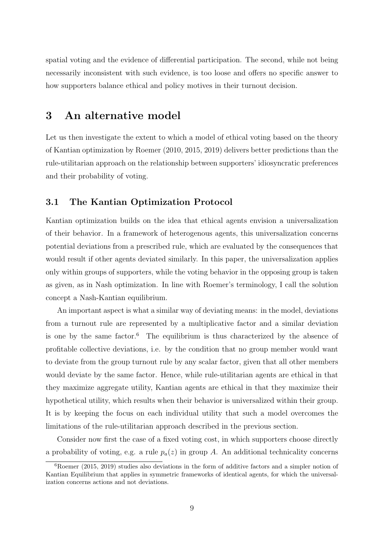spatial voting and the evidence of differential participation. The second, while not being necessarily inconsistent with such evidence, is too loose and offers no specific answer to how supporters balance ethical and policy motives in their turnout decision.

## 3 An alternative model

Let us then investigate the extent to which a model of ethical voting based on the theory of Kantian optimization by Roemer (2010, 2015, 2019) delivers better predictions than the rule-utilitarian approach on the relationship between supporters' idiosyncratic preferences and their probability of voting.

### 3.1 The Kantian Optimization Protocol

Kantian optimization builds on the idea that ethical agents envision a universalization of their behavior. In a framework of heterogenous agents, this universalization concerns potential deviations from a prescribed rule, which are evaluated by the consequences that would result if other agents deviated similarly. In this paper, the universalization applies only within groups of supporters, while the voting behavior in the opposing group is taken as given, as in Nash optimization. In line with Roemer's terminology, I call the solution concept a Nash-Kantian equilibrium.

An important aspect is what a similar way of deviating means: in the model, deviations from a turnout rule are represented by a multiplicative factor and a similar deviation is one by the same factor. $6$  The equilibrium is thus characterized by the absence of profitable collective deviations, i.e. by the condition that no group member would want to deviate from the group turnout rule by any scalar factor, given that all other members would deviate by the same factor. Hence, while rule-utilitarian agents are ethical in that they maximize aggregate utility, Kantian agents are ethical in that they maximize their hypothetical utility, which results when their behavior is universalized within their group. It is by keeping the focus on each individual utility that such a model overcomes the limitations of the rule-utilitarian approach described in the previous section.

Consider now first the case of a fixed voting cost, in which supporters choose directly a probability of voting, e.g. a rule  $p_a(z)$  in group A. An additional technicality concerns

<span id="page-9-0"></span> ${}^6Ro$ emer (2015, 2019) studies also deviations in the form of additive factors and a simpler notion of Kantian Equilibrium that applies in symmetric frameworks of identical agents, for which the universalization concerns actions and not deviations.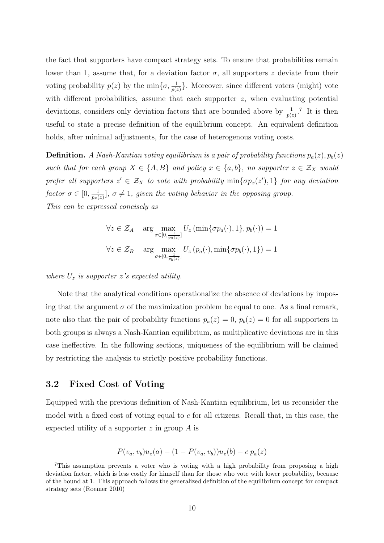the fact that supporters have compact strategy sets. To ensure that probabilities remain lower than 1, assume that, for a deviation factor  $\sigma$ , all supporters z deviate from their voting probability  $p(z)$  by the  $\min\{\sigma, \frac{1}{p(z)}\}$ . Moreover, since different voters (might) vote with different probabilities, assume that each supporter  $z$ , when evaluating potential deviations, considers only deviation factors that are bounded above by  $\frac{1}{p(z)}$ .<sup>[7](#page-10-0)</sup> It is then useful to state a precise definition of the equilibrium concept. An equivalent definition holds, after minimal adjustments, for the case of heterogenous voting costs.

**Definition.** A Nash-Kantian voting equilibrium is a pair of probability functions  $p_a(z)$ ,  $p_b(z)$ such that for each group  $X \in \{A, B\}$  and policy  $x \in \{a, b\}$ , no supporter  $z \in \mathcal{Z}_X$  would prefer all supporters  $z' \in \mathcal{Z}_X$  to vote with probability  $\min\{\sigma p_x(z'), 1\}$  for any deviation factor  $\sigma \in [0, \frac{1}{n}]$  $\frac{1}{p_x(z)}$ ,  $\sigma \neq 1$ , given the voting behavior in the opposing group. This can be expressed concisely as

$$
\forall z \in \mathcal{Z}_A \quad \arg \max_{\sigma \in [0, \frac{1}{p_a(z)}]} U_z(\min\{\sigma p_a(\cdot), 1\}, p_b(\cdot)) = 1
$$
  

$$
\forall z \in \mathcal{Z}_B \quad \arg \max_{\sigma \in [0, \frac{1}{p_b(z)}]} U_z(p_a(\cdot), \min\{\sigma p_b(\cdot), 1\}) = 1
$$

where  $U_z$  is supporter z's expected utility.

Note that the analytical conditions operationalize the absence of deviations by imposing that the argument  $\sigma$  of the maximization problem be equal to one. As a final remark, note also that the pair of probability functions  $p_a(z) = 0$ ,  $p_b(z) = 0$  for all supporters in both groups is always a Nash-Kantian equilibrium, as multiplicative deviations are in this case ineffective. In the following sections, uniqueness of the equilibrium will be claimed by restricting the analysis to strictly positive probability functions.

#### 3.2 Fixed Cost of Voting

Equipped with the previous definition of Nash-Kantian equilibrium, let us reconsider the model with a fixed cost of voting equal to  $c$  for all citizens. Recall that, in this case, the expected utility of a supporter  $z$  in group  $\tilde{A}$  is

$$
P(v_a, v_b)u_z(a) + (1 - P(v_a, v_b))u_z(b) - c p_a(z)
$$

<span id="page-10-0"></span><sup>7</sup>This assumption prevents a voter who is voting with a high probability from proposing a high deviation factor, which is less costly for himself than for those who vote with lower probability, because of the bound at 1. This approach follows the generalized definition of the equilibrium concept for compact strategy sets (Roemer 2010)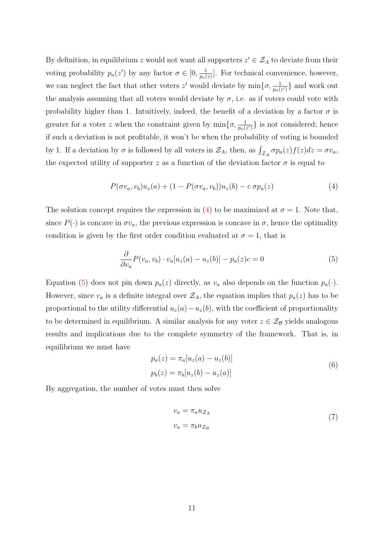By definition, in equilibrium z would not want all supporters  $z' \in \mathcal{Z}_A$  to deviate from their voting probability  $p_a(z')$  by any factor  $\sigma \in [0, \frac{1}{p_a}$  $\frac{1}{p_a(z)}$ . For technical convenience, however, we can neglect the fact that other voters z' would deviate by  $\min\{\sigma, \frac{1}{p_a(z')}\}\)$  and work out the analysis assuming that all voters would deviate by  $\sigma$ , i.e. as if voters could vote with probability higher than 1. Intuitively, indeed, the benefit of a deviation by a factor  $\sigma$  is greater for a voter z when the constraint given by  $\min\{\sigma, \frac{1}{p_a(z')}\}\)$  is not considered; hence if such a deviation is not profitable, it won't be when the probability of voting is bounded by 1. If a deviation by  $\sigma$  is followed by all voters in  $\mathcal{Z}_A$ , then, as  $\int_{\mathcal{Z}_A} \sigma p_a(z) f(z) dz = \sigma v_a$ , the expected utility of supporter z as a function of the deviation factor  $\sigma$  is equal to

<span id="page-11-0"></span>
$$
P(\sigma v_a, v_b)u_z(a) + (1 - P(\sigma v_a, v_b))u_z(b) - c \sigma p_a(z) \tag{4}
$$

The solution concept requires the expression in [\(4\)](#page-11-0) to be maximized at  $\sigma = 1$ . Note that, since  $P(\cdot)$  is concave in  $\sigma v_a$ , the previous expression is concave in  $\sigma$ , hence the optimality condition is given by the first order condition evaluated at  $\sigma = 1$ , that is

<span id="page-11-1"></span>
$$
\frac{\partial}{\partial v_a} P(v_a, v_b) \cdot v_a[u_z(a) - u_z(b)] - p_a(z)c = 0 \tag{5}
$$

Equation [\(5\)](#page-11-1) does not pin down  $p_a(z)$  directly, as  $v_a$  also depends on the function  $p_a(\cdot)$ . However, since  $v_a$  is a definite integral over  $\mathcal{Z}_A$ , the equation implies that  $p_a(z)$  has to be proportional to the utility differential  $u_z(a)-u_z(b)$ , with the coefficient of proportionality to be determined in equilibrium. A similar analysis for any voter  $z \in \mathcal{Z}_B$  yields analogous results and implications due to the complete symmetry of the framework. That is, in equilibrium we must have

<span id="page-11-2"></span>
$$
p_a(z) = \pi_a[u_z(a) - u_z(b)]
$$
  
\n
$$
p_b(z) = \pi_b[u_z(b) - u_z(a)]
$$
\n(6)

By aggregation, the number of votes must then solve

<span id="page-11-3"></span>
$$
v_a = \pi_a u_{\mathcal{Z}_A}
$$
  
\n
$$
v_a = \pi_b u_{\mathcal{Z}_B}
$$
\n(7)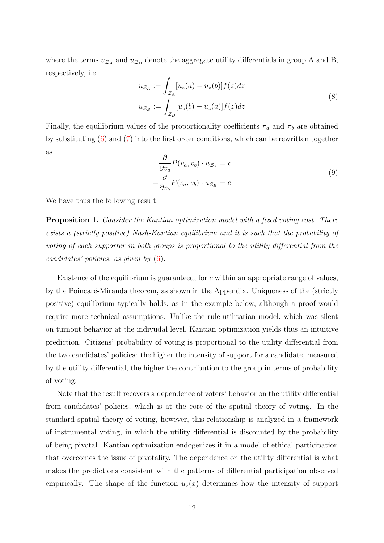where the terms  $u_{\mathcal{Z}_A}$  and  $u_{\mathcal{Z}_B}$  denote the aggregate utility differentials in group A and B, respectively, i.e.

<span id="page-12-1"></span>
$$
u_{\mathcal{Z}_A} := \int_{\mathcal{Z}_A} [u_z(a) - u_z(b)] f(z) dz
$$
  

$$
u_{\mathcal{Z}_B} := \int_{\mathcal{Z}_B} [u_z(b) - u_z(a)] f(z) dz
$$
\n(8)

Finally, the equilibrium values of the proportionality coefficients  $\pi_a$  and  $\pi_b$  are obtained by substituting [\(6\)](#page-11-2) and [\(7\)](#page-11-3) into the first order conditions, which can be rewritten together as

<span id="page-12-0"></span>
$$
\frac{\partial}{\partial v_a} P(v_a, v_b) \cdot u_{\mathcal{Z}_A} = c
$$
\n
$$
-\frac{\partial}{\partial v_b} P(v_a, v_b) \cdot u_{\mathcal{Z}_B} = c
$$
\n(9)

We have thus the following result.

**Proposition 1.** Consider the Kantian optimization model with a fixed voting cost. There exists a (strictly positive) Nash-Kantian equilibrium and it is such that the probability of voting of each supporter in both groups is proportional to the utility differential from the candidates' policies, as given by [\(6\)](#page-11-2).

Existence of the equilibrium is guaranteed, for c within an appropriate range of values, by the Poincaré-Miranda theorem, as shown in the Appendix. Uniqueness of the (strictly positive) equilibrium typically holds, as in the example below, although a proof would require more technical assumptions. Unlike the rule-utilitarian model, which was silent on turnout behavior at the indivudal level, Kantian optimization yields thus an intuitive prediction. Citizens' probability of voting is proportional to the utility differential from the two candidates' policies: the higher the intensity of support for a candidate, measured by the utility differential, the higher the contribution to the group in terms of probability of voting.

Note that the result recovers a dependence of voters' behavior on the utility differential from candidates' policies, which is at the core of the spatial theory of voting. In the standard spatial theory of voting, however, this relationship is analyzed in a framework of instrumental voting, in which the utility differential is discounted by the probability of being pivotal. Kantian optimization endogenizes it in a model of ethical participation that overcomes the issue of pivotality. The dependence on the utility differential is what makes the predictions consistent with the patterns of differential participation observed empirically. The shape of the function  $u_z(x)$  determines how the intensity of support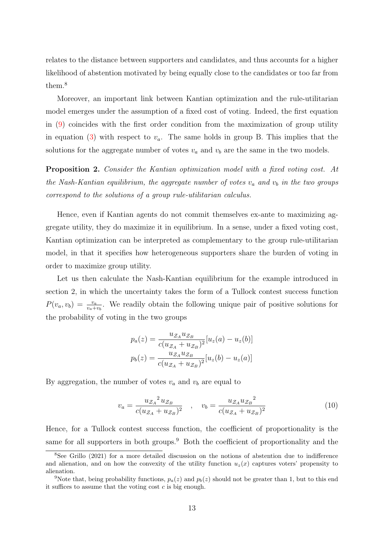relates to the distance between supporters and candidates, and thus accounts for a higher likelihood of abstention motivated by being equally close to the candidates or too far from them.[8](#page-13-0)

Moreover, an important link between Kantian optimization and the rule-utilitarian model emerges under the assumption of a fixed cost of voting. Indeed, the first equation in [\(9\)](#page-12-0) coincides with the first order condition from the maximization of group utility in equation [\(3\)](#page-8-0) with respect to  $v_a$ . The same holds in group B. This implies that the solutions for the aggregate number of votes  $v_a$  and  $v_b$  are the same in the two models.

Proposition 2. Consider the Kantian optimization model with a fixed voting cost. At the Nash-Kantian equilibrium, the aggregate number of votes  $v_a$  and  $v_b$  in the two groups correspond to the solutions of a group rule-utilitarian calculus.

Hence, even if Kantian agents do not commit themselves ex-ante to maximizing aggregate utility, they do maximize it in equilibrium. In a sense, under a fixed voting cost, Kantian optimization can be interpreted as complementary to the group rule-utilitarian model, in that it specifies how heterogeneous supporters share the burden of voting in order to maximize group utility.

Let us then calculate the Nash-Kantian equilibrium for the example introduced in section 2, in which the uncertainty takes the form of a Tullock contest success function  $P(v_a, v_b) = \frac{v_a}{v_a + v_b}$ . We readily obtain the following unique pair of positive solutions for the probability of voting in the two groups

$$
p_a(z) = \frac{u_{\mathcal{Z}_A} u_{\mathcal{Z}_B}}{c(u_{\mathcal{Z}_A} + u_{\mathcal{Z}_B})^2} [u_z(a) - u_z(b)]
$$
  

$$
p_b(z) = \frac{u_{\mathcal{Z}_A} u_{\mathcal{Z}_B}}{c(u_{\mathcal{Z}_A} + u_{\mathcal{Z}_B})^2} [u_z(b) - u_z(a)]
$$

By aggregation, the number of votes  $v_a$  and  $v_b$  are equal to

<span id="page-13-2"></span>
$$
v_a = \frac{u_{Z_A}^2 u_{Z_B}}{c(u_{Z_A} + u_{Z_B})^2} \quad , \quad v_b = \frac{u_{Z_A} u_{Z_B}^2}{c(u_{Z_A} + u_{Z_B})^2} \tag{10}
$$

Hence, for a Tullock contest success function, the coefficient of proportionality is the same for all supporters in both groups.<sup>[9](#page-13-1)</sup> Both the coefficient of proportionality and the

<span id="page-13-0"></span><sup>8</sup>See Grillo (2021) for a more detailed discussion on the notions of abstention due to indifference and alienation, and on how the convexity of the utility function  $u_z(x)$  captures voters' propensity to alienation.

<span id="page-13-1"></span><sup>&</sup>lt;sup>9</sup>Note that, being probability functions,  $p_a(z)$  and  $p_b(z)$  should not be greater than 1, but to this end it suffices to assume that the voting cost  $c$  is big enough.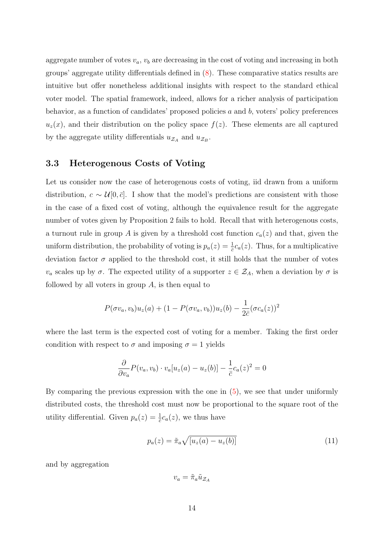aggregate number of votes  $v_a$ ,  $v_b$  are decreasing in the cost of voting and increasing in both groups' aggregate utility differentials defined in [\(8\)](#page-12-1). These comparative statics results are intuitive but offer nonetheless additional insights with respect to the standard ethical voter model. The spatial framework, indeed, allows for a richer analysis of participation behavior, as a function of candidates' proposed policies  $a$  and  $b$ , voters' policy preferences  $u_z(x)$ , and their distribution on the policy space  $f(z)$ . These elements are all captured by the aggregate utility differentials  $u_{\mathcal{Z}_A}$  and  $u_{\mathcal{Z}_B}$ .

#### 3.3 Heterogenous Costs of Voting

Let us consider now the case of heterogenous costs of voting, iid drawn from a uniform distribution,  $c \sim \mathcal{U}[0,\bar{c}]$ . I show that the model's predictions are consistent with those in the case of a fixed cost of voting, although the equivalence result for the aggregate number of votes given by Proposition 2 fails to hold. Recall that with heterogenous costs, a turnout rule in group A is given by a threshold cost function  $c_a(z)$  and that, given the uniform distribution, the probability of voting is  $p_a(z) = \frac{1}{c}c_a(z)$ . Thus, for a multiplicative deviation factor  $\sigma$  applied to the threshold cost, it still holds that the number of votes  $v_a$  scales up by  $\sigma$ . The expected utility of a supporter  $z \in \mathcal{Z}_A$ , when a deviation by  $\sigma$  is followed by all voters in group  $A$ , is then equal to

$$
P(\sigma v_a, v_b)u_z(a) + (1 - P(\sigma v_a, v_b))u_z(b) - \frac{1}{2\bar{c}}(\sigma c_a(z))^2
$$

where the last term is the expected cost of voting for a member. Taking the first order condition with respect to  $\sigma$  and imposing  $\sigma = 1$  yields

$$
\frac{\partial}{\partial v_a}P(v_a, v_b) \cdot v_a[u_z(a) - u_z(b)] - \frac{1}{\bar{c}}c_a(z)^2 = 0
$$

By comparing the previous expression with the one in [\(5\)](#page-11-1), we see that under uniformly distributed costs, the threshold cost must now be proportional to the square root of the utility differential. Given  $p_a(z) = \frac{1}{c}c_a(z)$ , we thus have

<span id="page-14-0"></span>
$$
p_a(z) = \tilde{\pi}_a \sqrt{[u_z(a) - u_z(b)]} \tag{11}
$$

and by aggregation

$$
v_a = \tilde{\pi}_a \tilde{u}_{\mathcal{Z}_A}
$$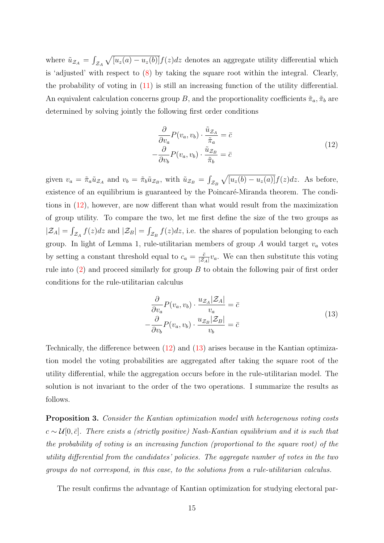where  $\tilde{u}_{Z_A} = \int_{Z_A} \sqrt{[u_z(a) - u_z(b)]} f(z) dz$  denotes an aggregate utility differential which is 'adjusted' with respect to [\(8\)](#page-12-1) by taking the square root within the integral. Clearly, the probability of voting in [\(11\)](#page-14-0) is still an increasing function of the utility differential. An equivalent calculation concerns group B, and the proportionality coefficients  $\tilde{\pi}_a$ ,  $\tilde{\pi}_b$  are determined by solving jointly the following first order conditions

<span id="page-15-0"></span>
$$
\frac{\partial}{\partial v_a} P(v_a, v_b) \cdot \frac{\tilde{u}_{\mathcal{Z}_A}}{\tilde{\pi}_a} = \bar{c}
$$
\n
$$
-\frac{\partial}{\partial v_b} P(v_a, v_b) \cdot \frac{\tilde{u}_{\mathcal{Z}_B}}{\tilde{\pi}_b} = \bar{c}
$$
\n(12)

given  $v_a = \tilde{\pi}_a \tilde{u}_{\mathcal{Z}_A}$  and  $v_b = \tilde{\pi}_b \tilde{u}_{\mathcal{Z}_B}$ , with  $\tilde{u}_{\mathcal{Z}_B} = \int_{\mathcal{Z}_B} \sqrt{[u_z(b) - u_z(a)]} f(z) dz$ . As before, existence of an equilibrium is guaranteed by the Poincaré-Miranda theorem. The conditions in [\(12\)](#page-15-0), however, are now different than what would result from the maximization of group utility. To compare the two, let me first define the size of the two groups as  $|\mathcal{Z}_A| = \int_{\mathcal{Z}_A} f(z)dz$  and  $|\mathcal{Z}_B| = \int_{\mathcal{Z}_B} f(z)dz$ , i.e. the shares of population belonging to each group. In light of Lemma 1, rule-utilitarian members of group A would target  $v_a$  votes by setting a constant threshold equal to  $c_a = \frac{\bar{c}}{|\bar{z}|}$  $\frac{\bar{c}}{|\mathcal{Z}_A|}v_a$ . We can then substitute this voting rule into [\(2\)](#page-7-0) and proceed similarly for group B to obtain the following pair of first order conditions for the rule-utilitarian calculus

<span id="page-15-1"></span>
$$
\frac{\partial}{\partial v_a} P(v_a, v_b) \cdot \frac{u_{\mathcal{Z}_A} |\mathcal{Z}_A|}{v_a} = \bar{c}
$$
\n
$$
-\frac{\partial}{\partial v_b} P(v_a, v_b) \cdot \frac{u_{\mathcal{Z}_B} |\mathcal{Z}_B|}{v_b} = \bar{c}
$$
\n(13)

Technically, the difference between [\(12\)](#page-15-0) and [\(13\)](#page-15-1) arises because in the Kantian optimization model the voting probabilities are aggregated after taking the square root of the utility differential, while the aggregation occurs before in the rule-utilitarian model. The solution is not invariant to the order of the two operations. I summarize the results as follows.

Proposition 3. Consider the Kantian optimization model with heterogenous voting costs  $c \sim \mathcal{U}[0,\bar{c}]$ . There exists a (strictly positive) Nash-Kantian equilibrium and it is such that the probability of voting is an increasing function (proportional to the square root) of the utility differential from the candidates' policies. The aggregate number of votes in the two groups do not correspond, in this case, to the solutions from a rule-utilitarian calculus.

The result confirms the advantage of Kantian optimization for studying electoral par-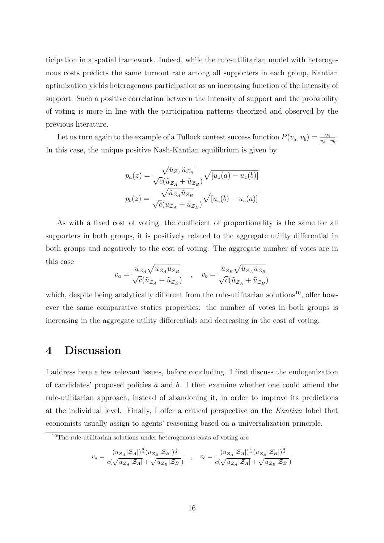ticipation in a spatial framework. Indeed, while the rule-utilitarian model with heterogenous costs predicts the same turnout rate among all supporters in each group, Kantian optimization yields heterogenous participation as an increasing function of the intensity of support. Such a positive correlation between the intensity of support and the probability of voting is more in line with the participation patterns theorized and observed by the previous literature.

Let us turn again to the example of a Tullock contest success function  $P(v_a, v_b) = \frac{v_a}{v_a + v_b}$ . In this case, the unique positive Nash-Kantian equilibrium is given by

$$
p_a(z) = \frac{\sqrt{\tilde{u}_{Z_A}\tilde{u}_{Z_B}}}{\sqrt{\bar{c}}(\tilde{u}_{Z_A} + \tilde{u}_{Z_B})} \sqrt{[u_z(a) - u_z(b)]}
$$

$$
p_b(z) = \frac{\sqrt{\tilde{u}_{Z_A}\tilde{u}_{Z_B}}}{\sqrt{\bar{c}}(\tilde{u}_{Z_A} + \tilde{u}_{Z_B})} \sqrt{[u_z(b) - u_z(a)]}
$$

As with a fixed cost of voting, the coefficient of proportionality is the same for all supporters in both groups, it is positively related to the aggregate utility differential in both groups and negatively to the cost of voting. The aggregate number of votes are in this case

$$
v_a = \frac{\tilde{u}_{Z_A} \sqrt{\tilde{u}_{Z_A} \tilde{u}_{Z_B}}}{\sqrt{\bar{c}}(\tilde{u}_{Z_A} + \tilde{u}_{Z_B})} \quad , \quad v_b = \frac{\tilde{u}_{Z_B} \sqrt{\tilde{u}_{Z_A} \tilde{u}_{Z_B}}}{\sqrt{\bar{c}}(\tilde{u}_{Z_A} + \tilde{u}_{Z_B})}
$$

which, despite being analytically different from the rule-utilitarian solutions<sup>[10](#page-16-0)</sup>, offer however the same comparative statics properties: the number of votes in both groups is increasing in the aggregate utility differentials and decreasing in the cost of voting.

## 4 Discussion

I address here a few relevant issues, before concluding. I first discuss the endogenization of candidates' proposed policies  $a$  and  $b$ . I then examine whether one could amend the rule-utilitarian approach, instead of abandoning it, in order to improve its predictions at the individual level. Finally, I offer a critical perspective on the Kantian label that economists usually assign to agents' reasoning based on a universalization principle.

$$
v_a = \frac{(u_{\mathcal{Z}_A}|\mathcal{Z}_A|)^{\frac{3}{4}}(u_{\mathcal{Z}_B}|\mathcal{Z}_B|)^{\frac{1}{4}}}{\bar{c}(\sqrt{u_{\mathcal{Z}_A}|\mathcal{Z}_A|} + \sqrt{u_{\mathcal{Z}_B}|\mathcal{Z}_B|})}, \quad v_b = \frac{(u_{\mathcal{Z}_A}|\mathcal{Z}_A|)^{\frac{1}{4}}(u_{\mathcal{Z}_B}|\mathcal{Z}_B|)^{\frac{3}{4}}}{\bar{c}(\sqrt{u_{\mathcal{Z}_A}|\mathcal{Z}_A|} + \sqrt{u_{\mathcal{Z}_B}|\mathcal{Z}_B|})}
$$

<span id="page-16-0"></span><sup>10</sup>The rule-utilitarian solutions under heterogenous costs of voting are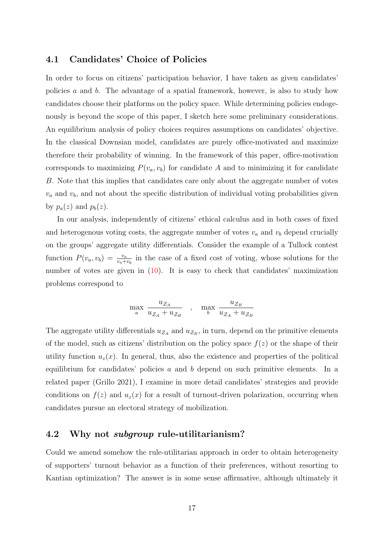#### 4.1 Candidates' Choice of Policies

In order to focus on citizens' participation behavior, I have taken as given candidates' policies a and b. The advantage of a spatial framework, however, is also to study how candidates choose their platforms on the policy space. While determining policies endogenously is beyond the scope of this paper, I sketch here some preliminary considerations. An equilibrium analysis of policy choices requires assumptions on candidates' objective. In the classical Downsian model, candidates are purely office-motivated and maximize therefore their probability of winning. In the framework of this paper, office-motivation corresponds to maximizing  $P(v_a, v_b)$  for candidate A and to minimizing it for candidate B. Note that this implies that candidates care only about the aggregate number of votes  $v_a$  and  $v_b$ , and not about the specific distribution of individual voting probabilities given by  $p_a(z)$  and  $p_b(z)$ .

In our analysis, independently of citizens' ethical calculus and in both cases of fixed and heterogenous voting costs, the aggregate number of votes  $v_a$  and  $v_b$  depend crucially on the groups' aggregate utility differentials. Consider the example of a Tullock contest function  $P(v_a, v_b) = \frac{v_a}{v_a + v_b}$  in the case of a fixed cost of voting, whose solutions for the number of votes are given in  $(10)$ . It is easy to check that candidates' maximization problems correspond to

$$
\max_{a} \frac{u_{\mathcal{Z}_A}}{u_{\mathcal{Z}_A} + u_{\mathcal{Z}_B}} \quad , \quad \max_{b} \frac{u_{\mathcal{Z}_B}}{u_{\mathcal{Z}_A} + u_{\mathcal{Z}_B}}
$$

The aggregate utility differentials  $u_{\mathcal{Z}_A}$  and  $u_{\mathcal{Z}_B}$ , in turn, depend on the primitive elements of the model, such as citizens' distribution on the policy space  $f(z)$  or the shape of their utility function  $u_z(x)$ . In general, thus, also the existence and properties of the political equilibrium for candidates' policies  $a$  and  $b$  depend on such primitive elements. In a related paper (Grillo 2021), I examine in more detail candidates' strategies and provide conditions on  $f(z)$  and  $u_z(x)$  for a result of turnout-driven polarization, occurring when candidates pursue an electoral strategy of mobilization.

#### 4.2 Why not subgroup rule-utilitarianism?

Could we amend somehow the rule-utilitarian approach in order to obtain heterogeneity of supporters' turnout behavior as a function of their preferences, without resorting to Kantian optimization? The answer is in some sense affirmative, although ultimately it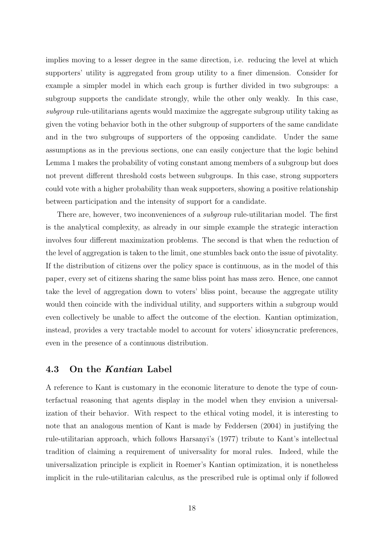implies moving to a lesser degree in the same direction, i.e. reducing the level at which supporters' utility is aggregated from group utility to a finer dimension. Consider for example a simpler model in which each group is further divided in two subgroups: a subgroup supports the candidate strongly, while the other only weakly. In this case, subgroup rule-utilitarians agents would maximize the aggregate subgroup utility taking as given the voting behavior both in the other subgroup of supporters of the same candidate and in the two subgroups of supporters of the opposing candidate. Under the same assumptions as in the previous sections, one can easily conjecture that the logic behind Lemma 1 makes the probability of voting constant among members of a subgroup but does not prevent different threshold costs between subgroups. In this case, strong supporters could vote with a higher probability than weak supporters, showing a positive relationship between participation and the intensity of support for a candidate.

There are, however, two inconveniences of a *subgroup* rule-utilitarian model. The first is the analytical complexity, as already in our simple example the strategic interaction involves four different maximization problems. The second is that when the reduction of the level of aggregation is taken to the limit, one stumbles back onto the issue of pivotality. If the distribution of citizens over the policy space is continuous, as in the model of this paper, every set of citizens sharing the same bliss point has mass zero. Hence, one cannot take the level of aggregation down to voters' bliss point, because the aggregate utility would then coincide with the individual utility, and supporters within a subgroup would even collectively be unable to affect the outcome of the election. Kantian optimization, instead, provides a very tractable model to account for voters' idiosyncratic preferences, even in the presence of a continuous distribution.

#### 4.3 On the Kantian Label

A reference to Kant is customary in the economic literature to denote the type of counterfactual reasoning that agents display in the model when they envision a universalization of their behavior. With respect to the ethical voting model, it is interesting to note that an analogous mention of Kant is made by Feddersen (2004) in justifying the rule-utilitarian approach, which follows Harsanyi's (1977) tribute to Kant's intellectual tradition of claiming a requirement of universality for moral rules. Indeed, while the universalization principle is explicit in Roemer's Kantian optimization, it is nonetheless implicit in the rule-utilitarian calculus, as the prescribed rule is optimal only if followed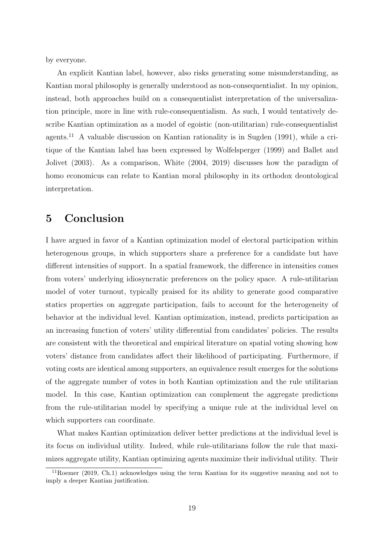by everyone.

An explicit Kantian label, however, also risks generating some misunderstanding, as Kantian moral philosophy is generally understood as non-consequentialist. In my opinion, instead, both approaches build on a consequentialist interpretation of the universalization principle, more in line with rule-consequentialism. As such, I would tentatively describe Kantian optimization as a model of egoistic (non-utilitarian) rule-consequentialist agents.<sup>[11](#page-19-0)</sup> A valuable discussion on Kantian rationality is in Sugden  $(1991)$ , while a critique of the Kantian label has been expressed by Wolfelsperger (1999) and Ballet and Jolivet (2003). As a comparison, White (2004, 2019) discusses how the paradigm of homo economicus can relate to Kantian moral philosophy in its orthodox deontological interpretation.

## 5 Conclusion

I have argued in favor of a Kantian optimization model of electoral participation within heterogenous groups, in which supporters share a preference for a candidate but have different intensities of support. In a spatial framework, the difference in intensities comes from voters' underlying idiosyncratic preferences on the policy space. A rule-utilitarian model of voter turnout, typically praised for its ability to generate good comparative statics properties on aggregate participation, fails to account for the heterogeneity of behavior at the individual level. Kantian optimization, instead, predicts participation as an increasing function of voters' utility differential from candidates' policies. The results are consistent with the theoretical and empirical literature on spatial voting showing how voters' distance from candidates affect their likelihood of participating. Furthermore, if voting costs are identical among supporters, an equivalence result emerges for the solutions of the aggregate number of votes in both Kantian optimization and the rule utilitarian model. In this case, Kantian optimization can complement the aggregate predictions from the rule-utilitarian model by specifying a unique rule at the individual level on which supporters can coordinate.

What makes Kantian optimization deliver better predictions at the individual level is its focus on individual utility. Indeed, while rule-utilitarians follow the rule that maximizes aggregate utility, Kantian optimizing agents maximize their individual utility. Their

<span id="page-19-0"></span><sup>11</sup>Roemer (2019, Ch.1) acknowledges using the term Kantian for its suggestive meaning and not to imply a deeper Kantian justification.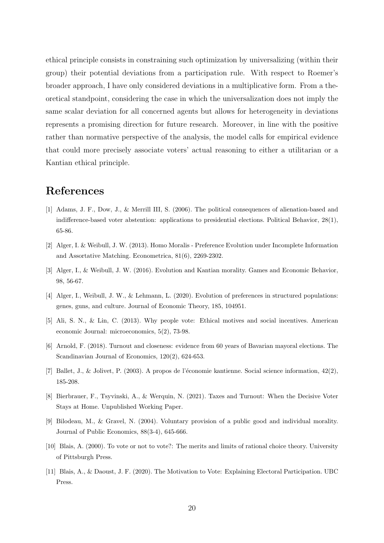ethical principle consists in constraining such optimization by universalizing (within their group) their potential deviations from a participation rule. With respect to Roemer's broader approach, I have only considered deviations in a multiplicative form. From a theoretical standpoint, considering the case in which the universalization does not imply the same scalar deviation for all concerned agents but allows for heterogeneity in deviations represents a promising direction for future research. Moreover, in line with the positive rather than normative perspective of the analysis, the model calls for empirical evidence that could more precisely associate voters' actual reasoning to either a utilitarian or a Kantian ethical principle.

## References

- [1] Adams, J. F., Dow, J., & Merrill III, S. (2006). The political consequences of alienation-based and indifference-based voter abstention: applications to presidential elections. Political Behavior, 28(1), 65-86.
- [2] Alger, I. & Weibull, J. W. (2013). Homo Moralis Preference Evolution under Incomplete Information and Assortative Matching. Econometrica, 81(6), 2269-2302.
- [3] Alger, I., & Weibull, J. W. (2016). Evolution and Kantian morality. Games and Economic Behavior, 98, 56-67.
- [4] Alger, I., Weibull, J. W., & Lehmann, L. (2020). Evolution of preferences in structured populations: genes, guns, and culture. Journal of Economic Theory, 185, 104951.
- [5] Ali, S. N., & Lin, C. (2013). Why people vote: Ethical motives and social incentives. American economic Journal: microeconomics, 5(2), 73-98.
- [6] Arnold, F. (2018). Turnout and closeness: evidence from 60 years of Bavarian mayoral elections. The Scandinavian Journal of Economics, 120(2), 624-653.
- [7] Ballet, J., & Jolivet, P. (2003). A propos de l'économie kantienne. Social science information,  $42(2)$ , 185-208.
- [8] Bierbrauer, F., Tsyvinski, A., & Werquin, N. (2021). Taxes and Turnout: When the Decisive Voter Stays at Home. Unpublished Working Paper.
- [9] Bilodeau, M., & Gravel, N. (2004). Voluntary provision of a public good and individual morality. Journal of Public Economics, 88(3-4), 645-666.
- [10] Blais, A. (2000). To vote or not to vote?: The merits and limits of rational choice theory. University of Pittsburgh Press.
- [11] Blais, A., & Daoust, J. F. (2020). The Motivation to Vote: Explaining Electoral Participation. UBC Press.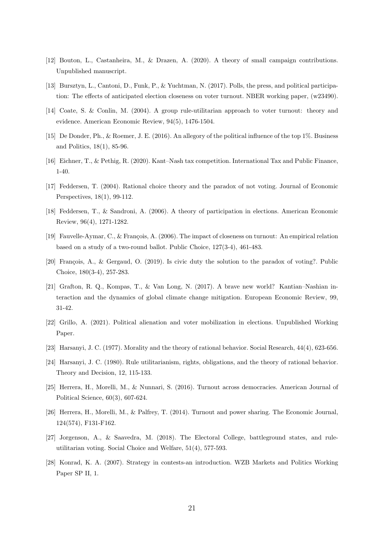- [12] Bouton, L., Castanheira, M., & Drazen, A. (2020). A theory of small campaign contributions. Unpublished manuscript.
- [13] Bursztyn, L., Cantoni, D., Funk, P., & Yuchtman, N. (2017). Polls, the press, and political participation: The effects of anticipated election closeness on voter turnout. NBER working paper, (w23490).
- [14] Coate, S. & Conlin, M. (2004). A group rule-utilitarian approach to voter turnout: theory and evidence. American Economic Review, 94(5), 1476-1504.
- [15] De Donder, Ph., & Roemer, J. E. (2016). An allegory of the political influence of the top 1%. Business and Politics, 18(1), 85-96.
- [16] Eichner, T., & Pethig, R. (2020). Kant–Nash tax competition. International Tax and Public Finance, 1-40.
- [17] Feddersen, T. (2004). Rational choice theory and the paradox of not voting. Journal of Economic Perspectives, 18(1), 99-112.
- [18] Feddersen, T., & Sandroni, A. (2006). A theory of participation in elections. American Economic Review, 96(4), 1271-1282.
- [19] Fauvelle-Aymar, C., & François, A. (2006). The impact of closeness on turnout: An empirical relation based on a study of a two-round ballot. Public Choice, 127(3-4), 461-483.
- [20] François, A., & Gergaud, O. (2019). Is civic duty the solution to the paradox of voting?. Public Choice, 180(3-4), 257-283.
- [21] Grafton, R. Q., Kompas, T., & Van Long, N. (2017). A brave new world? Kantian–Nashian interaction and the dynamics of global climate change mitigation. European Economic Review, 99, 31-42.
- [22] Grillo, A. (2021). Political alienation and voter mobilization in elections. Unpublished Working Paper.
- [23] Harsanyi, J. C. (1977). Morality and the theory of rational behavior. Social Research, 44(4), 623-656.
- [24] Harsanyi, J. C. (1980). Rule utilitarianism, rights, obligations, and the theory of rational behavior. Theory and Decision, 12, 115-133.
- [25] Herrera, H., Morelli, M., & Nunnari, S. (2016). Turnout across democracies. American Journal of Political Science, 60(3), 607-624.
- [26] Herrera, H., Morelli, M., & Palfrey, T. (2014). Turnout and power sharing. The Economic Journal, 124(574), F131-F162.
- [27] Jorgenson, A., & Saavedra, M. (2018). The Electoral College, battleground states, and ruleutilitarian voting. Social Choice and Welfare, 51(4), 577-593.
- [28] Konrad, K. A. (2007). Strategy in contests-an introduction. WZB Markets and Politics Working Paper SP II, 1.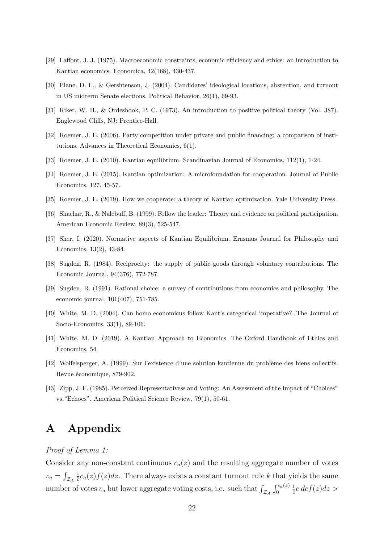- [29] Laffont, J. J. (1975). Macroeconomic constraints, economic efficiency and ethics: an introduction to Kantian economics. Economica, 42(168), 430-437.
- [30] Plane, D. L., & Gershtenson, J. (2004). Candidates' ideological locations, abstention, and turnout in US midterm Senate elections. Political Behavior, 26(1), 69-93.
- [31] Riker, W. H., & Ordeshook, P. C. (1973). An introduction to positive political theory (Vol. 387). Englewood Cliffs, NJ: Prentice-Hall.
- [32] Roemer, J. E. (2006). Party competition under private and public financing: a comparison of institutions. Advances in Theoretical Economics, 6(1).
- [33] Roemer, J. E. (2010). Kantian equilibrium. Scandinavian Journal of Economics, 112(1), 1-24.
- [34] Roemer, J. E. (2015). Kantian optimization: A microfoundation for cooperation. Journal of Public Economics, 127, 45-57.
- [35] Roemer, J. E. (2019). How we cooperate: a theory of Kantian optimization. Yale University Press.
- [36] Shachar, R., & Nalebuff, B. (1999). Follow the leader: Theory and evidence on political participation. American Economic Review, 89(3), 525-547.
- [37] Sher, I. (2020). Normative aspects of Kantian Equilibrium. Erasmus Journal for Philosophy and Economics, 13(2), 43-84.
- [38] Sugden, R. (1984). Reciprocity: the supply of public goods through voluntary contributions. The Economic Journal, 94(376), 772-787.
- [39] Sugden, R. (1991). Rational choice: a survey of contributions from economics and philosophy. The economic journal, 101(407), 751-785.
- [40] White, M. D. (2004). Can homo economicus follow Kant's categorical imperative?. The Journal of Socio-Economics, 33(1), 89-106.
- [41] White, M. D. (2019). A Kantian Approach to Economics. The Oxford Handbook of Ethics and Economics, 54.
- [42] Wolfelsperger, A. (1999). Sur l'existence d'une solution kantienne du problème des biens collectifs. Revue économique, 879-902.
- [43] Zipp, J. F. (1985). Perceived Representativess and Voting: An Assessment of the Impact of "Choices" vs."Echoes". American Political Science Review, 79(1), 50-61.

## A Appendix

#### Proof of Lemma 1:

Consider any non-constant continuous  $c_a(z)$  and the resulting aggregate number of votes  $v_a = \int_{\mathcal{Z}_A}$ 1  $\frac{1}{c}c_a(z)f(z)dz$ . There always exists a constant turnout rule k that yields the same number of votes  $v_a$  but lower aggregate voting costs, i.e. such that  $\int_{\mathcal{Z}_A} \int_0^{c_a(z)}$ 1  $\frac{1}{\bar{c}}c\,dcf(z)dz>$